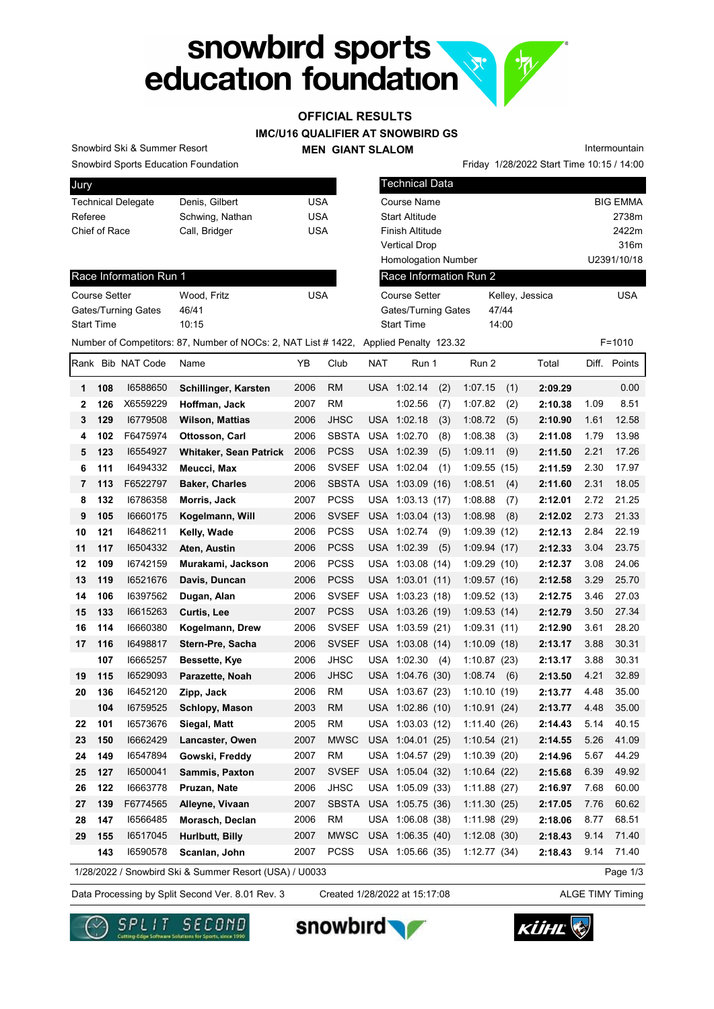# snowbird sports<br>education foundation  $\mathbf{x}$  $\mathcal{P}$

## OFFICIAL RESULTS

#### IMC/U16 QUALIFIER AT SNOWBIRD GS

#### MEN GIANT SLALOM

Snowbird Sports Education Foundation Snowbird Ski & Summer Resort

| Jury                      |                 |     |
|---------------------------|-----------------|-----|
| <b>Technical Delegate</b> | Denis, Gilbert  | USA |
| Referee                   | Schwing, Nathan | USA |
| Chief of Race             | Call, Bridger   | USA |
|                           |                 |     |

| Snowbird Sports Education Foundation |                                                                                      |            |           |            |                            |     |         |       | Friday 1/28/2022 Start Time 10:15 / 14:00 |       |                 |
|--------------------------------------|--------------------------------------------------------------------------------------|------------|-----------|------------|----------------------------|-----|---------|-------|-------------------------------------------|-------|-----------------|
| Jury                                 |                                                                                      |            |           |            | <b>Technical Data</b>      |     |         |       |                                           |       |                 |
| <b>Technical Delegate</b>            | Denis, Gilbert                                                                       | <b>USA</b> |           |            | <b>Course Name</b>         |     |         |       |                                           |       | <b>BIG EMMA</b> |
| Referee                              | Schwing, Nathan                                                                      | <b>USA</b> |           |            | <b>Start Altitude</b>      |     |         |       |                                           |       | 2738m           |
| Chief of Race                        | Call, Bridger                                                                        | <b>USA</b> |           |            | <b>Finish Altitude</b>     |     |         |       |                                           |       | 2422m           |
|                                      |                                                                                      |            |           |            | <b>Vertical Drop</b>       |     |         |       |                                           |       | 316m            |
|                                      |                                                                                      |            |           |            | <b>Homologation Number</b> |     |         |       |                                           |       | U2391/10/18     |
| Race Information Run 1               |                                                                                      |            |           |            | Race Information Run 2     |     |         |       |                                           |       |                 |
| <b>Course Setter</b>                 | Wood, Fritz                                                                          | <b>USA</b> |           |            | <b>Course Setter</b>       |     |         |       | Kelley, Jessica                           |       | <b>USA</b>      |
| Gates/Turning Gates                  | 46/41                                                                                |            |           |            | Gates/Turning Gates        |     |         | 47/44 |                                           |       |                 |
| <b>Start Time</b>                    | 10:15                                                                                |            |           |            | <b>Start Time</b>          |     |         | 14:00 |                                           |       |                 |
|                                      | Number of Competitors: 87, Number of NOCs: 2, NAT List #1422, Applied Penalty 123.32 |            |           |            |                            |     |         |       |                                           |       | $F = 1010$      |
| Rank Bib NAT Code                    | Name                                                                                 | YB         | Club      | <b>NAT</b> | Run 1                      |     | Run 2   |       | Total                                     | Diff. | Points          |
| 16588650<br>108<br>1                 | Schillinger, Karsten                                                                 | 2006       | <b>RM</b> |            | USA 1:02.14                | (2) | 1:07.15 | (1)   | 2:09.29                                   |       | 0.00            |

Intermountain

| Race Information Run 1 |             |     |
|------------------------|-------------|-----|
| <b>Course Setter</b>   | Wood. Fritz | USA |

| VVOOG. FIILZ | UJA. |
|--------------|------|
| 46/41        |      |
| 10:15        |      |
|              |      |

|              |     | Rank Bib NAT Code | Name                                                   | YΒ   | Club         | <b>NAT</b> | Run 1            |     | Run 2       |     | Total   |      | Diff. Points |
|--------------|-----|-------------------|--------------------------------------------------------|------|--------------|------------|------------------|-----|-------------|-----|---------|------|--------------|
| $\mathbf{1}$ | 108 | 16588650          | Schillinger, Karsten                                   | 2006 | <b>RM</b>    |            | USA 1:02.14      | (2) | 1:07.15     | (1) | 2:09.29 |      | 0.00         |
| 2            | 126 | X6559229          | Hoffman, Jack                                          | 2007 | <b>RM</b>    |            | 1:02.56          | (7) | 1:07.82     | (2) | 2:10.38 | 1.09 | 8.51         |
| 3            | 129 | 16779508          | Wilson, Mattias                                        | 2006 | JHSC         |            | USA 1:02.18      | (3) | 1:08.72     | (5) | 2:10.90 | 1.61 | 12.58        |
| 4            | 102 | F6475974          | Ottosson, Carl                                         | 2006 | <b>SBSTA</b> |            | USA 1:02.70      | (8) | 1:08.38     | (3) | 2:11.08 | 1.79 | 13.98        |
| 5            | 123 | 16554927          | <b>Whitaker, Sean Patrick</b>                          | 2006 | <b>PCSS</b>  |            | USA 1:02.39      | (5) | 1:09.11     | (9) | 2:11.50 | 2.21 | 17.26        |
| 6            | 111 | 16494332          | Meucci, Max                                            | 2006 | <b>SVSEF</b> |            | USA 1:02.04      | (1) | 1:09.55(15) |     | 2:11.59 | 2.30 | 17.97        |
| 7            | 113 | F6522797          | <b>Baker, Charles</b>                                  | 2006 | <b>SBSTA</b> |            | USA 1:03.09 (16) |     | 1:08.51     | (4) | 2:11.60 | 2.31 | 18.05        |
| 8            | 132 | 16786358          | Morris, Jack                                           | 2007 | <b>PCSS</b>  |            | USA 1:03.13 (17) |     | 1:08.88     | (7) | 2:12.01 | 2.72 | 21.25        |
| 9            | 105 | 16660175          | Kogelmann, Will                                        | 2006 | <b>SVSEF</b> |            | USA 1:03.04 (13) |     | 1:08.98     | (8) | 2:12.02 | 2.73 | 21.33        |
| 10           | 121 | 16486211          | Kelly, Wade                                            | 2006 | <b>PCSS</b>  |            | USA 1:02.74      | (9) | 1:09.39(12) |     | 2:12.13 | 2.84 | 22.19        |
| 11           | 117 | 16504332          | Aten, Austin                                           | 2006 | <b>PCSS</b>  |            | USA 1:02.39      | (5) | 1:09.94(17) |     | 2:12.33 | 3.04 | 23.75        |
| 12           | 109 | 16742159          | Murakami, Jackson                                      | 2006 | <b>PCSS</b>  |            | USA 1:03.08 (14) |     | 1:09.29(10) |     | 2:12.37 | 3.08 | 24.06        |
| 13           | 119 | 16521676          | Davis, Duncan                                          | 2006 | <b>PCSS</b>  |            | USA 1:03.01 (11) |     | 1:09.57(16) |     | 2:12.58 | 3.29 | 25.70        |
| 14           | 106 | 16397562          | Dugan, Alan                                            | 2006 | <b>SVSEF</b> |            | USA 1:03.23 (18) |     | 1:09.52(13) |     | 2:12.75 | 3.46 | 27.03        |
| 15           | 133 | 16615263          | Curtis, Lee                                            | 2007 | <b>PCSS</b>  |            | USA 1:03.26 (19) |     | 1:09.53(14) |     | 2:12.79 | 3.50 | 27.34        |
| 16           | 114 | 16660380          | Kogelmann, Drew                                        | 2006 | <b>SVSEF</b> |            | USA 1:03.59 (21) |     | 1:09.31(11) |     | 2:12.90 | 3.61 | 28.20        |
| 17           | 116 | 16498817          | Stern-Pre, Sacha                                       | 2006 | <b>SVSEF</b> |            | USA 1:03.08 (14) |     | 1:10.09(18) |     | 2:13.17 | 3.88 | 30.31        |
|              | 107 | 16665257          | Bessette, Kye                                          | 2006 | <b>JHSC</b>  |            | USA 1:02.30      | (4) | 1:10.87(23) |     | 2:13.17 | 3.88 | 30.31        |
| 19           | 115 | 16529093          | Parazette, Noah                                        | 2006 | <b>JHSC</b>  |            | USA 1:04.76 (30) |     | 1:08.74     | (6) | 2:13.50 | 4.21 | 32.89        |
| 20           | 136 | 16452120          | Zipp, Jack                                             | 2006 | RM           |            | USA 1:03.67 (23) |     | 1:10.10(19) |     | 2:13.77 | 4.48 | 35.00        |
|              | 104 | 16759525          | Schlopy, Mason                                         | 2003 | <b>RM</b>    |            | USA 1:02.86 (10) |     | 1:10.91(24) |     | 2:13.77 | 4.48 | 35.00        |
| 22           | 101 | 16573676          | Siegal, Matt                                           | 2005 | RM           |            | USA 1:03.03 (12) |     | 1:11.40(26) |     | 2:14.43 | 5.14 | 40.15        |
| 23           | 150 | 16662429          | Lancaster, Owen                                        | 2007 | <b>MWSC</b>  |            | USA 1:04.01 (25) |     | 1:10.54(21) |     | 2:14.55 | 5.26 | 41.09        |
| 24           | 149 | 16547894          | Gowski, Freddy                                         | 2007 | <b>RM</b>    |            | USA 1:04.57 (29) |     | 1:10.39(20) |     | 2:14.96 | 5.67 | 44.29        |
| 25           | 127 | 16500041          | Sammis, Paxton                                         | 2007 | <b>SVSEF</b> |            | USA 1:05.04 (32) |     | 1:10.64(22) |     | 2:15.68 | 6.39 | 49.92        |
| 26           | 122 | 16663778          | Pruzan, Nate                                           | 2006 | <b>JHSC</b>  |            | USA 1:05.09 (33) |     | 1:11.88(27) |     | 2:16.97 | 7.68 | 60.00        |
| 27           | 139 | F6774565          | Alleyne, Vivaan                                        | 2007 | SBSTA        |            | USA 1:05.75 (36) |     | 1:11.30(25) |     | 2:17.05 | 7.76 | 60.62        |
| 28           | 147 | 16566485          | Morasch, Declan                                        | 2006 | <b>RM</b>    |            | USA 1:06.08 (38) |     | 1:11.98(29) |     | 2:18.06 | 8.77 | 68.51        |
| 29           | 155 | 16517045          | Hurlbutt, Billy                                        | 2007 | <b>MWSC</b>  |            | USA 1:06.35 (40) |     | 1:12.08(30) |     | 2:18.43 | 9.14 | 71.40        |
|              | 143 | 16590578          | Scanlan, John                                          | 2007 | <b>PCSS</b>  |            | USA 1:05.66 (35) |     | 1:12.77(34) |     | 2:18.43 | 9.14 | 71.40        |
|              |     |                   | 1/28/2022 / Snowbird Ski & Summer Resort (USA) / U0033 |      |              |            |                  |     |             |     |         |      | Page 1/3     |

Data Processing by Split Second Ver. 8.01 Rev. 3 Created 1/28/2022 at 15:17:08 ALGE TIMY Timing Created 1/28/2022 at 15:17:08





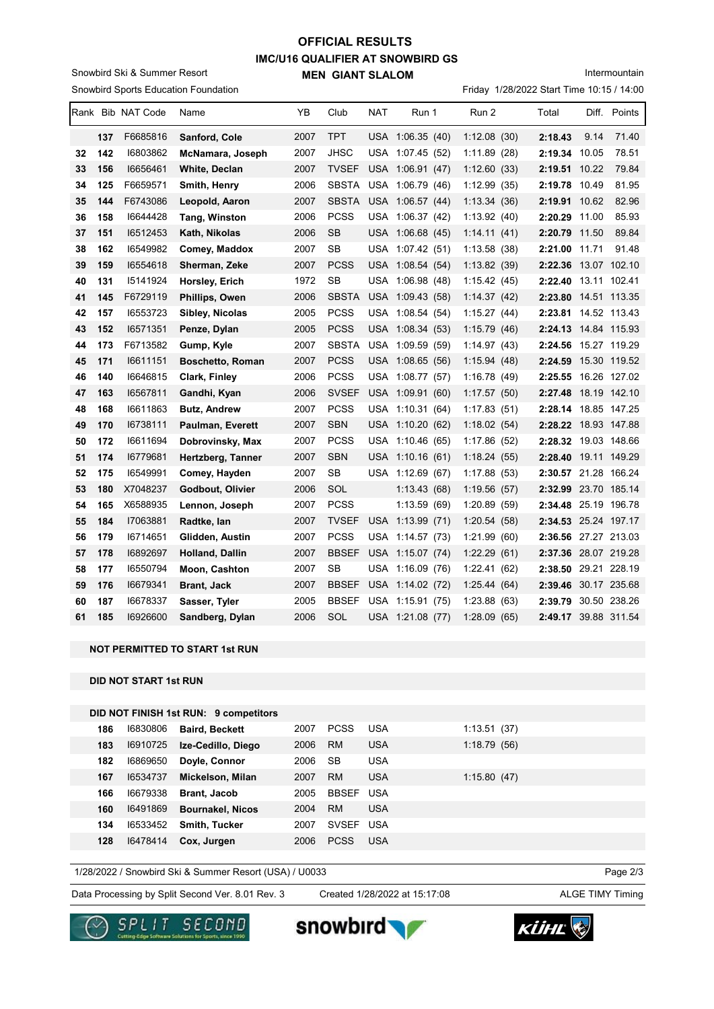## IMC/U16 QUALIFIER AT SNOWBIRD GS MEN GIANT SLALOM OFFICIAL RESULTS

Snowbird Sports Education Foundation Snowbird Ski & Summer Resort

Intermountain

Friday 1/28/2022 Start Time 10:15 / 14:00

|    |     | Rank Bib NAT Code | Name                    | YB   | Club         | NAT | Run 1            | Run 2        | Total                | Diff. | Points       |
|----|-----|-------------------|-------------------------|------|--------------|-----|------------------|--------------|----------------------|-------|--------------|
|    | 137 | F6685816          | Sanford, Cole           | 2007 | <b>TPT</b>   |     | USA 1:06.35 (40) | 1:12.08(30)  | 2:18.43              | 9.14  | 71.40        |
| 32 | 142 | 16803862          | McNamara, Joseph        | 2007 | JHSC         |     | USA 1:07.45 (52) | 1:11.89(28)  | 2:19.34 10.05        |       | 78.51        |
| 33 | 156 | 16656461          | White, Declan           | 2007 | <b>TVSEF</b> |     | USA 1:06.91 (47) | 1:12.60(33)  | 2:19.51 10.22        |       | 79.84        |
| 34 | 125 | F6659571          | Smith, Henry            | 2006 | <b>SBSTA</b> | USA | 1:06.79(46)      | 1:12.99(35)  | 2:19.78              | 10.49 | 81.95        |
| 35 | 144 | F6743086          | Leopold, Aaron          | 2007 | <b>SBSTA</b> |     | USA 1:06.57 (44) | 1:13.34(36)  | 2:19.91 10.62        |       | 82.96        |
| 36 | 158 | 16644428          | Tang, Winston           | 2006 | <b>PCSS</b>  | USA | 1:06.37(42)      | 1:13.92(40)  | 2:20.29              | 11.00 | 85.93        |
| 37 | 151 | 16512453          | Kath, Nikolas           | 2006 | <b>SB</b>    |     | USA 1:06.68 (45) | 1:14.11(41)  | 2:20.79 11.50        |       | 89.84        |
| 38 | 162 | 16549982          | Comey, Maddox           | 2007 | <b>SB</b>    |     | USA 1:07.42 (51) | 1:13.58(38)  | 2:21.00              | 11.71 | 91.48        |
| 39 | 159 | 16554618          | Sherman, Zeke           | 2007 | <b>PCSS</b>  |     | USA 1:08.54 (54) | 1:13.82(39)  | 2:22.36              |       | 13.07 102.10 |
| 40 | 131 | 15141924          | Horsley, Erich          | 1972 | <b>SB</b>    | USA | 1:06.98(48)      | 1:15.42(45)  | 2:22.40 13.11 102.41 |       |              |
| 41 | 145 | F6729119          | Phillips, Owen          | 2006 | <b>SBSTA</b> |     | USA 1:09.43 (58) | 1:14.37(42)  | 2:23.80 14.51 113.35 |       |              |
| 42 | 157 | 16553723          | Sibley, Nicolas         | 2005 | <b>PCSS</b>  | USA | 1:08.54(54)      | 1:15.27(44)  | 2:23.81              |       | 14.52 113.43 |
| 43 | 152 | 16571351          | Penze, Dylan            | 2005 | <b>PCSS</b>  |     | USA 1:08.34 (53) | 1:15.79(46)  | 2:24.13 14.84 115.93 |       |              |
| 44 | 173 | F6713582          | Gump, Kyle              | 2007 | <b>SBSTA</b> |     | USA 1:09.59 (59) | 1:14.97(43)  | 2:24.56              |       | 15.27 119.29 |
| 45 | 171 | 16611151          | <b>Boschetto, Roman</b> | 2007 | <b>PCSS</b>  |     | USA 1:08.65 (56) | 1:15.94(48)  | 2:24.59 15.30 119.52 |       |              |
| 46 | 140 | 16646815          | Clark, Finley           | 2006 | <b>PCSS</b>  |     | USA 1:08.77 (57) | 1:16.78(49)  | 2:25.55              |       | 16.26 127.02 |
| 47 | 163 | 16567811          | Gandhi, Kyan            | 2006 | <b>SVSEF</b> |     | USA 1:09.91 (60) | 1:17.57(50)  | 2:27.48              |       | 18.19 142.10 |
| 48 | 168 | 16611863          | <b>Butz, Andrew</b>     | 2007 | <b>PCSS</b>  |     | USA 1:10.31 (64) | 1:17.83(51)  | 2:28.14 18.85 147.25 |       |              |
| 49 | 170 | 16738111          | Paulman, Everett        | 2007 | <b>SBN</b>   |     | USA 1:10.20 (62) | 1:18.02(54)  | 2:28.22 18.93 147.88 |       |              |
| 50 | 172 | 16611694          | Dobrovinsky, Max        | 2007 | <b>PCSS</b>  |     | USA 1:10.46 (65) | 1:17.86(52)  | 2:28.32 19.03 148.66 |       |              |
| 51 | 174 | 16779681          | Hertzberg, Tanner       | 2007 | <b>SBN</b>   |     | USA 1:10.16 (61) | 1:18.24(55)  | 2:28.40              |       | 19.11 149.29 |
| 52 | 175 | 16549991          | Comey, Hayden           | 2007 | <b>SB</b>    |     | USA 1:12.69 (67) | 1:17.88(53)  | 2:30.57 21.28 166.24 |       |              |
| 53 | 180 | X7048237          | Godbout, Olivier        | 2006 | SOL          |     | 1:13.43(68)      | 1:19.56(57)  | 2:32.99 23.70 185.14 |       |              |
| 54 | 165 | X6588935          | Lennon, Joseph          | 2007 | <b>PCSS</b>  |     | 1:13.59(69)      | 1:20.89 (59) | 2:34.48 25.19 196.78 |       |              |
| 55 | 184 | 17063881          | Radtke, lan             | 2007 | <b>TVSEF</b> |     | USA 1:13.99 (71) | 1:20.54(58)  | 2:34.53 25.24 197.17 |       |              |
| 56 | 179 | 16714651          | Glidden, Austin         | 2007 | <b>PCSS</b>  |     | USA 1:14.57 (73) | 1:21.99(60)  | 2:36.56 27.27 213.03 |       |              |
| 57 | 178 | 16892697          | Holland, Dallin         | 2007 | <b>BBSEF</b> |     | USA 1:15.07 (74) | 1:22.29(61)  | 2:37.36 28.07 219.28 |       |              |
| 58 | 177 | 16550794          | Moon, Cashton           | 2007 | <b>SB</b>    |     | USA 1:16.09 (76) | 1:22.41(62)  | 2:38.50 29.21 228.19 |       |              |
| 59 | 176 | 16679341          | Brant, Jack             | 2007 | <b>BBSEF</b> |     | USA 1:14.02 (72) | 1:25.44(64)  | 2:39.46              |       | 30.17 235.68 |
| 60 | 187 | 16678337          | Sasser, Tyler           | 2005 | <b>BBSEF</b> | USA | 1:15.91(75)      | 1:23.88(63)  | 2:39.79              |       | 30.50 238.26 |
| 61 | 185 | 16926600          | Sandberg, Dylan         | 2006 | SOL          |     | USA 1:21.08 (77) | 1:28.09(65)  | 2:49.17 39.88 311.54 |       |              |

#### NOT PERMITTED TO START 1st RUN

DID NOT START 1st RUN

| DID NOT FINISH 1st RUN: 9 competitors |  |  |
|---------------------------------------|--|--|
|---------------------------------------|--|--|

| 186 | 16830806 | <b>Baird, Beckett</b>   | 2007 | <b>PCSS</b> | <b>USA</b> | 1:13.51(37) |
|-----|----------|-------------------------|------|-------------|------------|-------------|
| 183 | 16910725 | Ize-Cedillo, Diego      | 2006 | <b>RM</b>   | <b>USA</b> | 1:18.79(56) |
| 182 | 16869650 | Doyle, Connor           | 2006 | <b>SB</b>   | <b>USA</b> |             |
| 167 | 16534737 | Mickelson, Milan        | 2007 | <b>RM</b>   | <b>USA</b> | 1:15.80(47) |
| 166 | 16679338 | <b>Brant, Jacob</b>     | 2005 | BBSEF       | <b>USA</b> |             |
| 160 | 16491869 | <b>Bournakel, Nicos</b> | 2004 | <b>RM</b>   | <b>USA</b> |             |
| 134 | 16533452 | <b>Smith, Tucker</b>    | 2007 | SVSEF USA   |            |             |
| 128 | 16478414 | Cox, Jurgen             | 2006 | <b>PCSS</b> | <b>USA</b> |             |
|     |          |                         |      |             |            |             |

1/28/2022 / Snowbird Ski & Summer Resort (USA) / U0033

Data Processing by Split Second Ver. 8.01 Rev. 3 Created 1/28/2022 at 15:17:08 ALGE TIMY Timing

Created 1/28/2022 at 15:17:08

Page 2/3